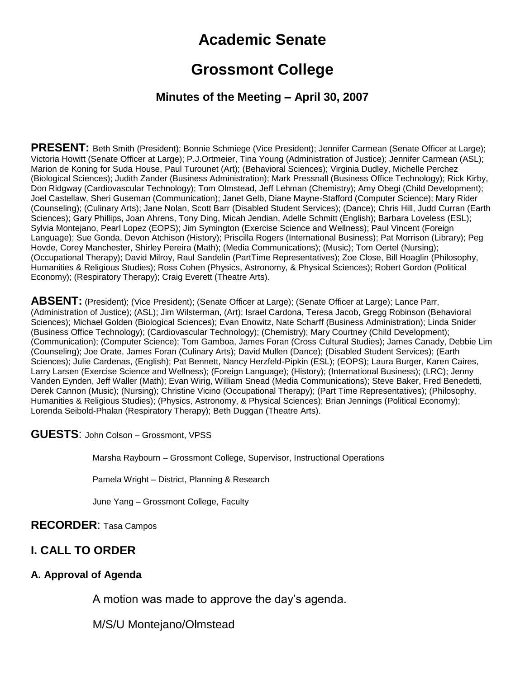# **Academic Senate**

# **Grossmont College**

### **Minutes of the Meeting – April 30, 2007**

**PRESENT:** Beth Smith (President); Bonnie Schmiege (Vice President); Jennifer Carmean (Senate Officer at Large); Victoria Howitt (Senate Officer at Large); P.J.Ortmeier, Tina Young (Administration of Justice); Jennifer Carmean (ASL); Marion de Koning for Suda House, Paul Turounet (Art); (Behavioral Sciences); Virginia Dudley, Michelle Perchez (Biological Sciences); Judith Zander (Business Administration); Mark Pressnall (Business Office Technology); Rick Kirby, Don Ridgway (Cardiovascular Technology); Tom Olmstead, Jeff Lehman (Chemistry); Amy Obegi (Child Development); Joel Castellaw, Sheri Guseman (Communication); Janet Gelb, Diane Mayne-Stafford (Computer Science); Mary Rider (Counseling); (Culinary Arts); Jane Nolan, Scott Barr (Disabled Student Services); (Dance); Chris Hill, Judd Curran (Earth Sciences); Gary Phillips, Joan Ahrens, Tony Ding, Micah Jendian, Adelle Schmitt (English); Barbara Loveless (ESL); Sylvia Montejano, Pearl Lopez (EOPS); Jim Symington (Exercise Science and Wellness); Paul Vincent (Foreign Language); Sue Gonda, Devon Atchison (History); Priscilla Rogers (International Business); Pat Morrison (Library); Peg Hovde, Corey Manchester, Shirley Pereira (Math); (Media Communications); (Music); Tom Oertel (Nursing); (Occupational Therapy); David Milroy, Raul Sandelin (PartTime Representatives); Zoe Close, Bill Hoaglin (Philosophy, Humanities & Religious Studies); Ross Cohen (Physics, Astronomy, & Physical Sciences); Robert Gordon (Political Economy); (Respiratory Therapy); Craig Everett (Theatre Arts).

**ABSENT:** (President); (Vice President); (Senate Officer at Large); (Senate Officer at Large); Lance Parr, (Administration of Justice); (ASL); Jim Wilsterman, (Art); Israel Cardona, Teresa Jacob, Gregg Robinson (Behavioral Sciences); Michael Golden (Biological Sciences); Evan Enowitz, Nate Scharff (Business Administration); Linda Snider (Business Office Technology); (Cardiovascular Technology); (Chemistry); Mary Courtney (Child Development); (Communication); (Computer Science); Tom Gamboa, James Foran (Cross Cultural Studies); James Canady, Debbie Lim (Counseling); Joe Orate, James Foran (Culinary Arts); David Mullen (Dance); (Disabled Student Services); (Earth Sciences); Julie Cardenas, (English); Pat Bennett, Nancy Herzfeld-Pipkin (ESL); (EOPS); Laura Burger, Karen Caires, Larry Larsen (Exercise Science and Wellness); (Foreign Language); (History); (International Business); (LRC); Jenny Vanden Eynden, Jeff Waller (Math); Evan Wirig, William Snead (Media Communications); Steve Baker, Fred Benedetti, Derek Cannon (Music); (Nursing); Christine Vicino (Occupational Therapy); (Part Time Representatives); (Philosophy, Humanities & Religious Studies); (Physics, Astronomy, & Physical Sciences); Brian Jennings (Political Economy); Lorenda Seibold-Phalan (Respiratory Therapy); Beth Duggan (Theatre Arts).

**GUESTS**: John Colson – Grossmont, VPSS

Marsha Raybourn – Grossmont College, Supervisor, Instructional Operations

Pamela Wright – District, Planning & Research

June Yang – Grossmont College, Faculty

#### **RECORDER**: Tasa Campos

### **I. CALL TO ORDER**

#### **A. Approval of Agenda**

A motion was made to approve the day's agenda.

M/S/U Montejano/Olmstead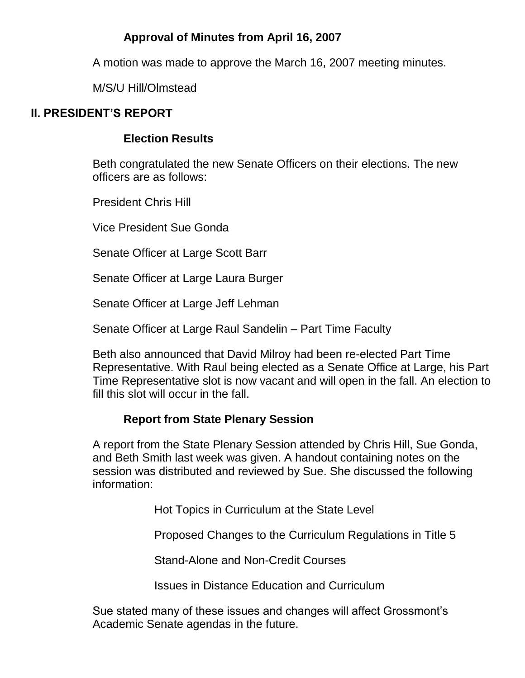## **Approval of Minutes from April 16, 2007**

A motion was made to approve the March 16, 2007 meeting minutes.

M/S/U Hill/Olmstead

## **II. PRESIDENT'S REPORT**

### **Election Results**

Beth congratulated the new Senate Officers on their elections. The new officers are as follows:

President Chris Hill

Vice President Sue Gonda

Senate Officer at Large Scott Barr

Senate Officer at Large Laura Burger

Senate Officer at Large Jeff Lehman

Senate Officer at Large Raul Sandelin – Part Time Faculty

Beth also announced that David Milroy had been re-elected Part Time Representative. With Raul being elected as a Senate Office at Large, his Part Time Representative slot is now vacant and will open in the fall. An election to fill this slot will occur in the fall.

### **Report from State Plenary Session**

A report from the State Plenary Session attended by Chris Hill, Sue Gonda, and Beth Smith last week was given. A handout containing notes on the session was distributed and reviewed by Sue. She discussed the following information:

Hot Topics in Curriculum at the State Level

Proposed Changes to the Curriculum Regulations in Title 5

Stand-Alone and Non-Credit Courses

Issues in Distance Education and Curriculum

Sue stated many of these issues and changes will affect Grossmont's Academic Senate agendas in the future.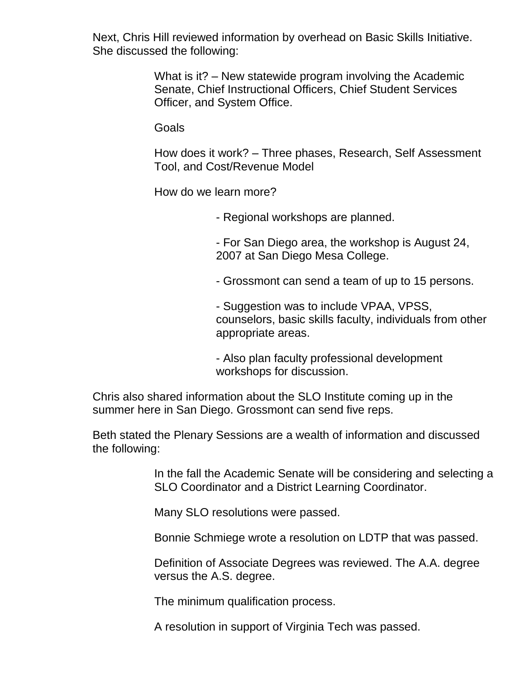Next, Chris Hill reviewed information by overhead on Basic Skills Initiative. She discussed the following:

> What is it? – New statewide program involving the Academic Senate, Chief Instructional Officers, Chief Student Services Officer, and System Office.

**Goals** 

How does it work? – Three phases, Research, Self Assessment Tool, and Cost/Revenue Model

How do we learn more?

- Regional workshops are planned.

- For San Diego area, the workshop is August 24, 2007 at San Diego Mesa College.

- Grossmont can send a team of up to 15 persons.

- Suggestion was to include VPAA, VPSS, counselors, basic skills faculty, individuals from other appropriate areas.

- Also plan faculty professional development workshops for discussion.

Chris also shared information about the SLO Institute coming up in the summer here in San Diego. Grossmont can send five reps.

Beth stated the Plenary Sessions are a wealth of information and discussed the following:

> In the fall the Academic Senate will be considering and selecting a SLO Coordinator and a District Learning Coordinator.

Many SLO resolutions were passed.

Bonnie Schmiege wrote a resolution on LDTP that was passed.

Definition of Associate Degrees was reviewed. The A.A. degree versus the A.S. degree.

The minimum qualification process.

A resolution in support of Virginia Tech was passed.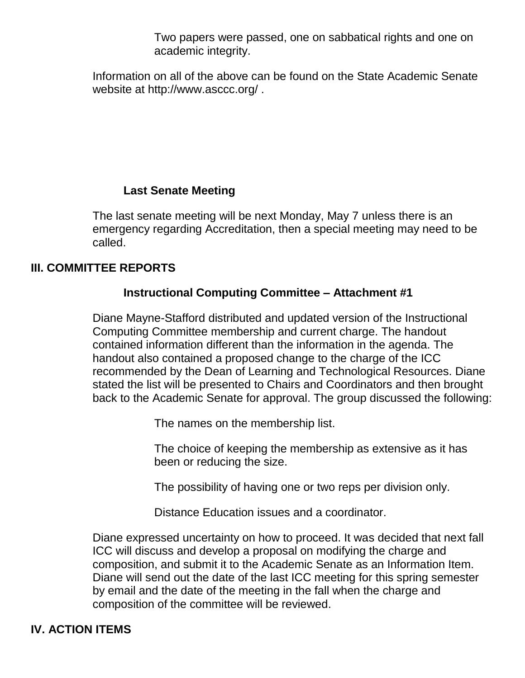Two papers were passed, one on sabbatical rights and one on academic integrity.

Information on all of the above can be found on the State Academic Senate website at http://www.asccc.org/ .

### **Last Senate Meeting**

The last senate meeting will be next Monday, May 7 unless there is an emergency regarding Accreditation, then a special meeting may need to be called.

### **III. COMMITTEE REPORTS**

### **Instructional Computing Committee – Attachment #1**

Diane Mayne-Stafford distributed and updated version of the Instructional Computing Committee membership and current charge. The handout contained information different than the information in the agenda. The handout also contained a proposed change to the charge of the ICC recommended by the Dean of Learning and Technological Resources. Diane stated the list will be presented to Chairs and Coordinators and then brought back to the Academic Senate for approval. The group discussed the following:

The names on the membership list.

The choice of keeping the membership as extensive as it has been or reducing the size.

The possibility of having one or two reps per division only.

Distance Education issues and a coordinator.

Diane expressed uncertainty on how to proceed. It was decided that next fall ICC will discuss and develop a proposal on modifying the charge and composition, and submit it to the Academic Senate as an Information Item. Diane will send out the date of the last ICC meeting for this spring semester by email and the date of the meeting in the fall when the charge and composition of the committee will be reviewed.

### **IV. ACTION ITEMS**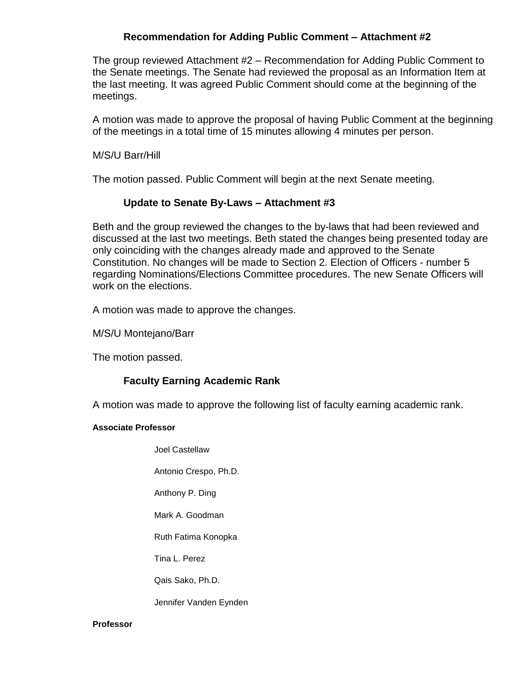#### **Recommendation for Adding Public Comment – Attachment #2**

The group reviewed Attachment #2 – Recommendation for Adding Public Comment to the Senate meetings. The Senate had reviewed the proposal as an Information Item at the last meeting. It was agreed Public Comment should come at the beginning of the meetings.

A motion was made to approve the proposal of having Public Comment at the beginning of the meetings in a total time of 15 minutes allowing 4 minutes per person.

M/S/U Barr/Hill

The motion passed. Public Comment will begin at the next Senate meeting.

#### **Update to Senate By-Laws – Attachment #3**

Beth and the group reviewed the changes to the by-laws that had been reviewed and discussed at the last two meetings. Beth stated the changes being presented today are only coinciding with the changes already made and approved to the Senate Constitution. No changes will be made to Section 2. Election of Officers - number 5 regarding Nominations/Elections Committee procedures. The new Senate Officers will work on the elections.

A motion was made to approve the changes.

M/S/U Montejano/Barr

The motion passed.

### **Faculty Earning Academic Rank**

A motion was made to approve the following list of faculty earning academic rank.

#### **Associate Professor**

Joel Castellaw

Antonio Crespo, Ph.D.

Anthony P. Ding

Mark A. Goodman

Ruth Fatima Konopka

Tina L. Perez

Qais Sako, Ph.D.

Jennifer Vanden Eynden

#### **Professor**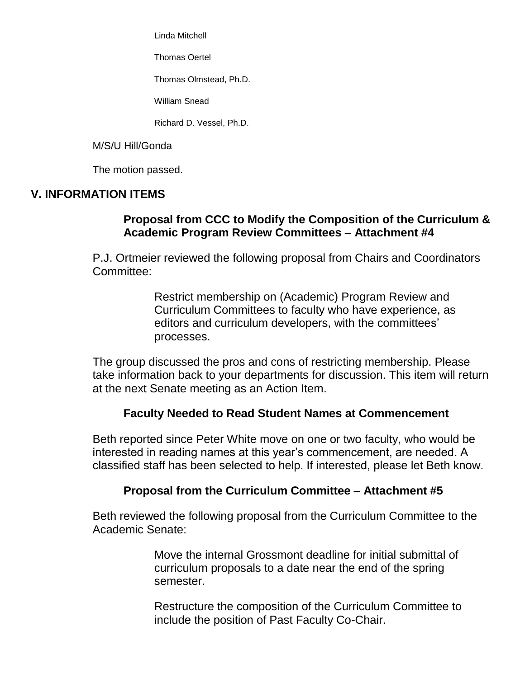Linda Mitchell

Thomas Oertel

Thomas Olmstead, Ph.D.

William Snead

Richard D. Vessel, Ph.D.

M/S/U Hill/Gonda

The motion passed.

### **V. INFORMATION ITEMS**

### **Proposal from CCC to Modify the Composition of the Curriculum & Academic Program Review Committees – Attachment #4**

P.J. Ortmeier reviewed the following proposal from Chairs and Coordinators Committee:

> Restrict membership on (Academic) Program Review and Curriculum Committees to faculty who have experience, as editors and curriculum developers, with the committees' processes.

The group discussed the pros and cons of restricting membership. Please take information back to your departments for discussion. This item will return at the next Senate meeting as an Action Item.

### **Faculty Needed to Read Student Names at Commencement**

Beth reported since Peter White move on one or two faculty, who would be interested in reading names at this year's commencement, are needed. A classified staff has been selected to help. If interested, please let Beth know.

### **Proposal from the Curriculum Committee – Attachment #5**

Beth reviewed the following proposal from the Curriculum Committee to the Academic Senate:

> Move the internal Grossmont deadline for initial submittal of curriculum proposals to a date near the end of the spring semester.

Restructure the composition of the Curriculum Committee to include the position of Past Faculty Co-Chair.